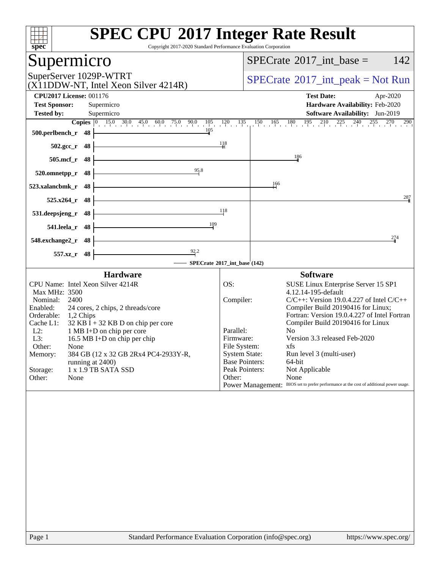| <b>SPEC CPU®2017 Integer Rate Result</b><br>spec <sup>®</sup><br>Copyright 2017-2020 Standard Performance Evaluation Corporation |                                      |                                                                                         |  |  |  |  |
|----------------------------------------------------------------------------------------------------------------------------------|--------------------------------------|-----------------------------------------------------------------------------------------|--|--|--|--|
| Supermicro                                                                                                                       |                                      | 142<br>$SPECrate^{\circledast}2017\_int\_base =$                                        |  |  |  |  |
| SuperServer 1029P-WTRT<br>(X11DDW-NT, Intel Xeon Silver 4214R)                                                                   |                                      | $SPECrate^{\circ}2017\_int\_peak = Not Run$                                             |  |  |  |  |
| <b>CPU2017 License: 001176</b><br><b>Test Sponsor:</b><br>Supermicro                                                             |                                      | <b>Test Date:</b><br>Apr-2020<br>Hardware Availability: Feb-2020                        |  |  |  |  |
| <b>Tested by:</b><br>Supermicro                                                                                                  |                                      | Software Availability: Jun-2019                                                         |  |  |  |  |
| $15.0$ 30.0 45.0 60.0 75.0 90.0 $105$ $120$ $135$<br>Copies $\boxed{0}$<br>105<br>500.perlbench_r<br>- 48                        |                                      | $150$ $165$ $180$ $195$ $210$ $225$ $240$ $255$ $270$ $290$                             |  |  |  |  |
| 48<br>$502.\text{gcc}_{r}$                                                                                                       | $\frac{118}{11}$                     |                                                                                         |  |  |  |  |
| $505$ .mcf_r<br>48                                                                                                               |                                      | 186                                                                                     |  |  |  |  |
| 95.8<br>520.omnetpp_r<br>48                                                                                                      |                                      |                                                                                         |  |  |  |  |
| 48<br>523.xalancbmk r                                                                                                            |                                      | $\frac{166}{1}$                                                                         |  |  |  |  |
| 525.x264_r<br>48                                                                                                                 |                                      | 287                                                                                     |  |  |  |  |
| 531.deepsjeng_r<br>48                                                                                                            | 118                                  |                                                                                         |  |  |  |  |
| 109<br>- 48<br>541.leela_r                                                                                                       |                                      |                                                                                         |  |  |  |  |
| 548.exchange2_r<br>48                                                                                                            |                                      | 274                                                                                     |  |  |  |  |
| $\frac{92.2}{9}$<br>48<br>557.xz_r                                                                                               |                                      |                                                                                         |  |  |  |  |
|                                                                                                                                  | SPECrate®2017_int_base (142)         |                                                                                         |  |  |  |  |
| <b>Hardware</b><br>CPU Name: Intel Xeon Silver 4214R                                                                             | OS:                                  | <b>Software</b><br>SUSE Linux Enterprise Server 15 SP1                                  |  |  |  |  |
| Max MHz: 3500                                                                                                                    |                                      | 4.12.14-195-default                                                                     |  |  |  |  |
| Nominal:<br>2400                                                                                                                 | Compiler:                            | $C/C++$ : Version 19.0.4.227 of Intel $C/C++$                                           |  |  |  |  |
| Enabled:<br>24 cores, 2 chips, 2 threads/core                                                                                    |                                      | Compiler Build 20190416 for Linux;<br>Fortran: Version 19.0.4.227 of Intel Fortran      |  |  |  |  |
| Orderable:<br>1,2 Chips<br>Cache L1:<br>$32$ KB I + 32 KB D on chip per core                                                     |                                      | Compiler Build 20190416 for Linux                                                       |  |  |  |  |
| $L2$ :<br>1 MB I+D on chip per core                                                                                              | Parallel:                            | No                                                                                      |  |  |  |  |
| 16.5 MB I+D on chip per chip<br>L3:                                                                                              | Firmware:                            | Version 3.3 released Feb-2020                                                           |  |  |  |  |
| Other:<br>None                                                                                                                   | File System:<br><b>System State:</b> | xfs<br>Run level 3 (multi-user)                                                         |  |  |  |  |
| 384 GB (12 x 32 GB 2Rx4 PC4-2933Y-R,<br>Memory:<br>running at 2400)                                                              | <b>Base Pointers:</b>                | 64-bit                                                                                  |  |  |  |  |
| 1 x 1.9 TB SATA SSD<br>Storage:                                                                                                  | Peak Pointers:                       | Not Applicable                                                                          |  |  |  |  |
| Other:<br>None                                                                                                                   | Other:                               | None                                                                                    |  |  |  |  |
|                                                                                                                                  |                                      | Power Management: BIOS set to prefer performance at the cost of additional power usage. |  |  |  |  |
|                                                                                                                                  |                                      |                                                                                         |  |  |  |  |
|                                                                                                                                  |                                      |                                                                                         |  |  |  |  |
|                                                                                                                                  |                                      |                                                                                         |  |  |  |  |
|                                                                                                                                  |                                      |                                                                                         |  |  |  |  |
| Standard Performance Evaluation Corporation (info@spec.org)<br>$P309$ 1                                                          |                                      | https://www.spec.org/                                                                   |  |  |  |  |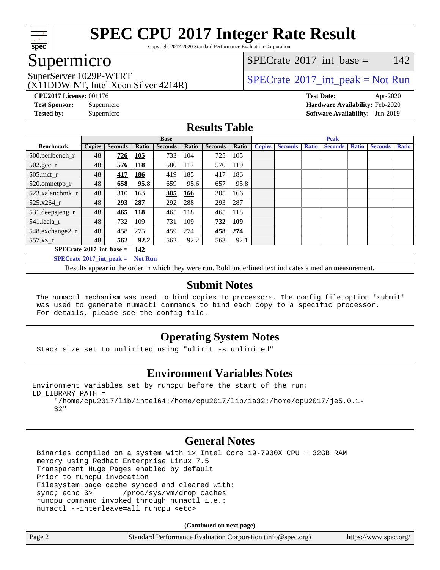

Copyright 2017-2020 Standard Performance Evaluation Corporation

## Supermicro

(X11DDW-NT, Intel Xeon Silver 4214R)

[SPECrate](http://www.spec.org/auto/cpu2017/Docs/result-fields.html#SPECrate2017intbase)®2017 int\_base =  $142$ 

## SuperServer 1029P-WTRT  $SPECrate^{\circ}2017$  $SPECrate^{\circ}2017$  int peak = Not Run

**[CPU2017 License:](http://www.spec.org/auto/cpu2017/Docs/result-fields.html#CPU2017License)** 001176 **[Test Date:](http://www.spec.org/auto/cpu2017/Docs/result-fields.html#TestDate)** Apr-2020 **[Test Sponsor:](http://www.spec.org/auto/cpu2017/Docs/result-fields.html#TestSponsor)** Supermicro **[Hardware Availability:](http://www.spec.org/auto/cpu2017/Docs/result-fields.html#HardwareAvailability)** Feb-2020 **[Tested by:](http://www.spec.org/auto/cpu2017/Docs/result-fields.html#Testedby)** Supermicro **[Software Availability:](http://www.spec.org/auto/cpu2017/Docs/result-fields.html#SoftwareAvailability)** Jun-2019

### **[Results Table](http://www.spec.org/auto/cpu2017/Docs/result-fields.html#ResultsTable)**

|                                          | <b>Base</b>   |                |                |                |       | <b>Peak</b>    |            |               |                |              |                |              |                |              |
|------------------------------------------|---------------|----------------|----------------|----------------|-------|----------------|------------|---------------|----------------|--------------|----------------|--------------|----------------|--------------|
| <b>Benchmark</b>                         | <b>Copies</b> | <b>Seconds</b> | <b>Ratio</b>   | <b>Seconds</b> | Ratio | <b>Seconds</b> | Ratio      | <b>Copies</b> | <b>Seconds</b> | <b>Ratio</b> | <b>Seconds</b> | <b>Ratio</b> | <b>Seconds</b> | <b>Ratio</b> |
| $500.$ perlbench_r                       | 48            | 726            | 105            | 733            | 104   | 725            | 105        |               |                |              |                |              |                |              |
| $502.\text{sec}$                         | 48            | 576            | 118            | 580            | 117   | 570            | 119        |               |                |              |                |              |                |              |
| $505$ .mcf r                             | 48            | 417            | 186            | 419            | 185   | 417            | 186        |               |                |              |                |              |                |              |
| 520.omnetpp_r                            | 48            | 658            | 95.8           | 659            | 95.6  | 657            | 95.8       |               |                |              |                |              |                |              |
| 523.xalancbmk r                          | 48            | 310            | 163            | 305            | 166   | 305            | 166        |               |                |              |                |              |                |              |
| $525.x264$ r                             | 48            | 293            | 287            | 292            | 288   | 293            | 287        |               |                |              |                |              |                |              |
| 531.deepsjeng_r                          | 48            | 465            | <u>118</u>     | 465            | 118   | 465            | 118        |               |                |              |                |              |                |              |
| 541.leela r                              | 48            | 732            | 109            | 731            | 109   | 732            | <u>109</u> |               |                |              |                |              |                |              |
| 548.exchange2_r                          | 48            | 458            | 275            | 459            | 274   | 458            | 274        |               |                |              |                |              |                |              |
| 557.xz r                                 | 48            | 562            | 92.2           | 562            | 92.2  | 563            | 92.1       |               |                |              |                |              |                |              |
| $SPECrate^{\circ}2017$ int base =<br>142 |               |                |                |                |       |                |            |               |                |              |                |              |                |              |
| $SPECrate^{\circ}2017\_int\_peak =$      |               |                | <b>Not Run</b> |                |       |                |            |               |                |              |                |              |                |              |

Results appear in the [order in which they were run.](http://www.spec.org/auto/cpu2017/Docs/result-fields.html#RunOrder) Bold underlined text [indicates a median measurement.](http://www.spec.org/auto/cpu2017/Docs/result-fields.html#Median)

#### **[Submit Notes](http://www.spec.org/auto/cpu2017/Docs/result-fields.html#SubmitNotes)**

 The numactl mechanism was used to bind copies to processors. The config file option 'submit' was used to generate numactl commands to bind each copy to a specific processor. For details, please see the config file.

### **[Operating System Notes](http://www.spec.org/auto/cpu2017/Docs/result-fields.html#OperatingSystemNotes)**

Stack size set to unlimited using "ulimit -s unlimited"

### **[Environment Variables Notes](http://www.spec.org/auto/cpu2017/Docs/result-fields.html#EnvironmentVariablesNotes)**

```
Environment variables set by runcpu before the start of the run:
LD_LIBRARY_PATH =
      "/home/cpu2017/lib/intel64:/home/cpu2017/lib/ia32:/home/cpu2017/je5.0.1-
```
#### 32"

### **[General Notes](http://www.spec.org/auto/cpu2017/Docs/result-fields.html#GeneralNotes)**

 Binaries compiled on a system with 1x Intel Core i9-7900X CPU + 32GB RAM memory using Redhat Enterprise Linux 7.5 Transparent Huge Pages enabled by default Prior to runcpu invocation Filesystem page cache synced and cleared with: sync; echo 3> /proc/sys/vm/drop\_caches runcpu command invoked through numactl i.e.: numactl --interleave=all runcpu <etc>

**(Continued on next page)**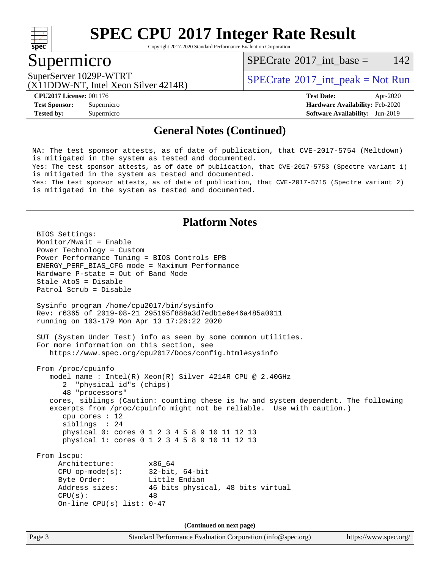

Copyright 2017-2020 Standard Performance Evaluation Corporation

### Supermicro

[SPECrate](http://www.spec.org/auto/cpu2017/Docs/result-fields.html#SPECrate2017intbase)<sup>®</sup>2017 int base = 142

(X11DDW-NT, Intel Xeon Silver 4214R)

SuperServer 1029P-WTRT <br>[SPECrate](http://www.spec.org/auto/cpu2017/Docs/result-fields.html#SPECrate2017intpeak)®[2017\\_int\\_peak = N](http://www.spec.org/auto/cpu2017/Docs/result-fields.html#SPECrate2017intpeak)ot Run (Y11DDW NT, Intal Year Silver 4214D)

**[Tested by:](http://www.spec.org/auto/cpu2017/Docs/result-fields.html#Testedby)** Supermicro **[Software Availability:](http://www.spec.org/auto/cpu2017/Docs/result-fields.html#SoftwareAvailability)** Jun-2019

**[CPU2017 License:](http://www.spec.org/auto/cpu2017/Docs/result-fields.html#CPU2017License)** 001176 **[Test Date:](http://www.spec.org/auto/cpu2017/Docs/result-fields.html#TestDate)** Apr-2020 **[Test Sponsor:](http://www.spec.org/auto/cpu2017/Docs/result-fields.html#TestSponsor)** Supermicro **[Hardware Availability:](http://www.spec.org/auto/cpu2017/Docs/result-fields.html#HardwareAvailability)** Feb-2020

#### **[General Notes \(Continued\)](http://www.spec.org/auto/cpu2017/Docs/result-fields.html#GeneralNotes)**

NA: The test sponsor attests, as of date of publication, that CVE-2017-5754 (Meltdown) is mitigated in the system as tested and documented. Yes: The test sponsor attests, as of date of publication, that CVE-2017-5753 (Spectre variant 1) is mitigated in the system as tested and documented. Yes: The test sponsor attests, as of date of publication, that CVE-2017-5715 (Spectre variant 2) is mitigated in the system as tested and documented.

#### **[Platform Notes](http://www.spec.org/auto/cpu2017/Docs/result-fields.html#PlatformNotes)**

```
 BIOS Settings:
 Monitor/Mwait = Enable
 Power Technology = Custom
 Power Performance Tuning = BIOS Controls EPB
 ENERGY_PERF_BIAS_CFG mode = Maximum Performance
 Hardware P-state = Out of Band Mode
 Stale AtoS = Disable
 Patrol Scrub = Disable
 Sysinfo program /home/cpu2017/bin/sysinfo
 Rev: r6365 of 2019-08-21 295195f888a3d7edb1e6e46a485a0011
 running on 103-179 Mon Apr 13 17:26:22 2020
 SUT (System Under Test) info as seen by some common utilities.
 For more information on this section, see
    https://www.spec.org/cpu2017/Docs/config.html#sysinfo
 From /proc/cpuinfo
    model name : Intel(R) Xeon(R) Silver 4214R CPU @ 2.40GHz
       2 "physical id"s (chips)
       48 "processors"
    cores, siblings (Caution: counting these is hw and system dependent. The following
    excerpts from /proc/cpuinfo might not be reliable. Use with caution.)
       cpu cores : 12
       siblings : 24
       physical 0: cores 0 1 2 3 4 5 8 9 10 11 12 13
       physical 1: cores 0 1 2 3 4 5 8 9 10 11 12 13
 From lscpu:
     Architecture: x86_64
      CPU op-mode(s): 32-bit, 64-bit
     Byte Order: Little Endian
      Address sizes: 46 bits physical, 48 bits virtual
     CPU(s): 48
      On-line CPU(s) list: 0-47
                                  (Continued on next page)
```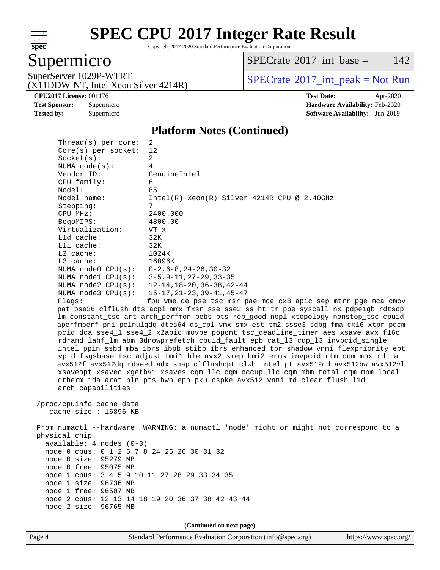

Copyright 2017-2020 Standard Performance Evaluation Corporation

## Supermicro

 $SPECTate$ <sup>®</sup>[2017\\_int\\_base =](http://www.spec.org/auto/cpu2017/Docs/result-fields.html#SPECrate2017intbase) 142

(X11DDW-NT, Intel Xeon Silver 4214R)

SuperServer 1029P-WTRT  $SPECrate^{\circ}2017\_int\_peak = Not Run$  $SPECrate^{\circ}2017\_int\_peak = Not Run$ 

**[CPU2017 License:](http://www.spec.org/auto/cpu2017/Docs/result-fields.html#CPU2017License)** 001176 **[Test Date:](http://www.spec.org/auto/cpu2017/Docs/result-fields.html#TestDate)** Apr-2020 **[Test Sponsor:](http://www.spec.org/auto/cpu2017/Docs/result-fields.html#TestSponsor)** Supermicro **[Hardware Availability:](http://www.spec.org/auto/cpu2017/Docs/result-fields.html#HardwareAvailability)** Feb-2020 **[Tested by:](http://www.spec.org/auto/cpu2017/Docs/result-fields.html#Testedby)** Supermicro **[Software Availability:](http://www.spec.org/auto/cpu2017/Docs/result-fields.html#SoftwareAvailability)** Jun-2019

#### **[Platform Notes \(Continued\)](http://www.spec.org/auto/cpu2017/Docs/result-fields.html#PlatformNotes)**

| Thread(s) per core:                                                 | 2                                                                                    |
|---------------------------------------------------------------------|--------------------------------------------------------------------------------------|
| Core(s) per socket:                                                 | 12                                                                                   |
| Socket(s):                                                          | $\overline{a}$                                                                       |
| NUMA $node(s):$                                                     | 4                                                                                    |
| Vendor ID:                                                          | GenuineIntel                                                                         |
| CPU family:                                                         | 6                                                                                    |
| Model:                                                              | 85                                                                                   |
| Model name:                                                         | $Intel(R) Xeon(R) Silver 4214R CPU @ 2.40GHz$                                        |
| Stepping:                                                           | 7                                                                                    |
| CPU MHz:                                                            | 2400.000                                                                             |
| BogoMIPS:                                                           | 4800.00                                                                              |
| Virtualization:                                                     | $VT - x$                                                                             |
| L1d cache:                                                          | 32K                                                                                  |
| Lli cache:                                                          | 32K                                                                                  |
| $L2$ cache:                                                         | 1024K                                                                                |
| $L3$ cache:                                                         | 16896K                                                                               |
| NUMA node0 CPU(s):                                                  | $0-2$ , $6-8$ , $24-26$ , $30-32$                                                    |
| NUMA $node1$ $CPU(s):$                                              | $3 - 5$ , $9 - 11$ , $27 - 29$ , $33 - 35$                                           |
| NUMA $node2$ $CPU(s):$                                              | $12 - 14$ , $18 - 20$ , $36 - 38$ , $42 - 44$                                        |
| NUMA $node3$ CPU $(s)$ :                                            | $15 - 17, 21 - 23, 39 - 41, 45 - 47$                                                 |
| Flaqs:                                                              | fpu vme de pse tsc msr pae mce cx8 apic sep mtrr pge mca cmov                        |
|                                                                     | pat pse36 clflush dts acpi mmx fxsr sse sse2 ss ht tm pbe syscall nx pdpe1gb rdtscp  |
|                                                                     | lm constant_tsc art arch_perfmon pebs bts rep_good nopl xtopology nonstop_tsc cpuid  |
|                                                                     | aperfmperf pni pclmulqdq dtes64 ds_cpl vmx smx est tm2 ssse3 sdbg fma cx16 xtpr pdcm |
|                                                                     | pcid dca sse4_1 sse4_2 x2apic movbe popcnt tsc_deadline_timer aes xsave avx f16c     |
|                                                                     | rdrand lahf_lm abm 3dnowprefetch cpuid_fault epb cat_13 cdp_13 invpcid_single        |
|                                                                     | intel_ppin ssbd mba ibrs ibpb stibp ibrs_enhanced tpr_shadow vnmi flexpriority ept   |
|                                                                     | vpid fsgsbase tsc_adjust bmil hle avx2 smep bmi2 erms invpcid rtm cqm mpx rdt_a      |
|                                                                     | avx512f avx512dq rdseed adx smap clflushopt clwb intel_pt avx512cd avx512bw avx512vl |
|                                                                     | xsaveopt xsavec xgetbvl xsaves cqm_llc cqm_occup_llc cqm_mbm_total cqm_mbm_local     |
|                                                                     | dtherm ida arat pln pts hwp_epp pku ospke avx512_vnni md_clear flush_lld             |
| arch_capabilities                                                   |                                                                                      |
|                                                                     |                                                                                      |
| /proc/cpuinfo cache data                                            |                                                                                      |
| cache size : $16896$ KB                                             |                                                                                      |
|                                                                     | From numactl --hardware WARNING: a numactl 'node' might or might not correspond to a |
| physical chip.                                                      |                                                                                      |
| $available: 4 nodes (0-3)$                                          |                                                                                      |
|                                                                     |                                                                                      |
| node 0 cpus: 0 1 2 6 7 8 24 25 26 30 31 32<br>node 0 size: 95279 MB |                                                                                      |
| node 0 free: 95075 MB                                               |                                                                                      |
| node 1 cpus: 3 4 5 9 10 11 27 28 29 33 34 35                        |                                                                                      |
| node 1 size: 96736 MB                                               |                                                                                      |
| node 1 free: 96507 MB                                               |                                                                                      |
|                                                                     | node 2 cpus: 12 13 14 18 19 20 36 37 38 42 43 44                                     |
| node 2 size: 96765 MB                                               |                                                                                      |
|                                                                     |                                                                                      |

**(Continued on next page)**

Page 4 Standard Performance Evaluation Corporation [\(info@spec.org\)](mailto:info@spec.org) <https://www.spec.org/>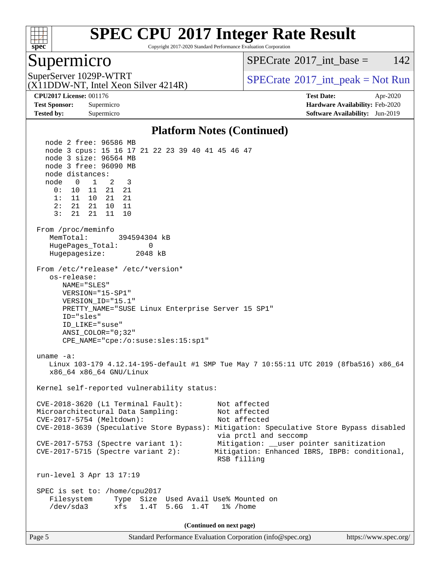

Copyright 2017-2020 Standard Performance Evaluation Corporation

### Supermicro

[SPECrate](http://www.spec.org/auto/cpu2017/Docs/result-fields.html#SPECrate2017intbase)<sup>®</sup>2017 int base = 142

(X11DDW-NT, Intel Xeon Silver 4214R)

SuperServer 1029P-WTRT <br>[SPECrate](http://www.spec.org/auto/cpu2017/Docs/result-fields.html#SPECrate2017intpeak)®[2017\\_int\\_peak = N](http://www.spec.org/auto/cpu2017/Docs/result-fields.html#SPECrate2017intpeak)ot Run (Y11DDW NT, Intal Year Silver 4214D)

**[Tested by:](http://www.spec.org/auto/cpu2017/Docs/result-fields.html#Testedby)** Supermicro **[Software Availability:](http://www.spec.org/auto/cpu2017/Docs/result-fields.html#SoftwareAvailability)** Jun-2019

**[CPU2017 License:](http://www.spec.org/auto/cpu2017/Docs/result-fields.html#CPU2017License)** 001176 **[Test Date:](http://www.spec.org/auto/cpu2017/Docs/result-fields.html#TestDate)** Apr-2020 **[Test Sponsor:](http://www.spec.org/auto/cpu2017/Docs/result-fields.html#TestSponsor)** Supermicro **[Hardware Availability:](http://www.spec.org/auto/cpu2017/Docs/result-fields.html#HardwareAvailability)** Feb-2020

#### **[Platform Notes \(Continued\)](http://www.spec.org/auto/cpu2017/Docs/result-fields.html#PlatformNotes)**

 node 2 free: 96586 MB node 3 cpus: 15 16 17 21 22 23 39 40 41 45 46 47 node 3 size: 96564 MB node 3 free: 96090 MB node distances: node 0 1 2 3 0: 10 11 21 21 1: 11 10 21 21 2: 21 21 10 11 3: 21 21 11 10 From /proc/meminfo MemTotal: 394594304 kB HugePages\_Total: 0 Hugepagesize: 2048 kB From /etc/\*release\* /etc/\*version\* os-release: NAME="SLES" VERSION="15-SP1" VERSION\_ID="15.1" PRETTY\_NAME="SUSE Linux Enterprise Server 15 SP1" ID="sles" ID\_LIKE="suse" ANSI\_COLOR="0;32" CPE\_NAME="cpe:/o:suse:sles:15:sp1" uname -a: Linux 103-179 4.12.14-195-default #1 SMP Tue May 7 10:55:11 UTC 2019 (8fba516) x86\_64 x86\_64 x86\_64 GNU/Linux Kernel self-reported vulnerability status: CVE-2018-3620 (L1 Terminal Fault): Not affected Microarchitectural Data Sampling: Not affected CVE-2017-5754 (Meltdown): Not affected CVE-2018-3639 (Speculative Store Bypass): Mitigation: Speculative Store Bypass disabled via prctl and seccomp CVE-2017-5753 (Spectre variant 1): Mitigation: \_\_user pointer sanitization CVE-2017-5715 (Spectre variant 2): Mitigation: Enhanced IBRS, IBPB: conditional, RSB filling run-level 3 Apr 13 17:19 SPEC is set to: /home/cpu2017 Filesystem Type Size Used Avail Use% Mounted on /dev/sda3 xfs 1.4T 5.6G 1.4T 1% /home **(Continued on next page)**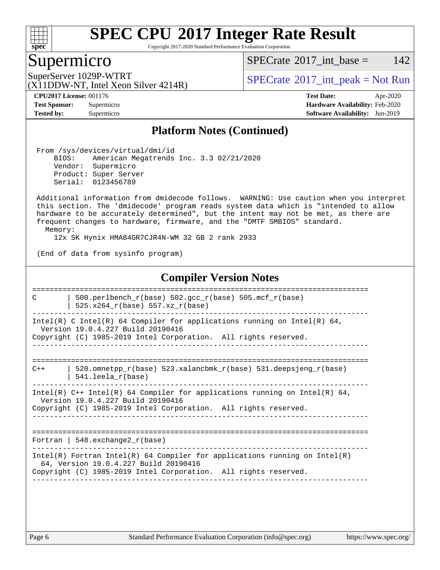

Copyright 2017-2020 Standard Performance Evaluation Corporation

### Supermicro

[SPECrate](http://www.spec.org/auto/cpu2017/Docs/result-fields.html#SPECrate2017intbase)<sup>®</sup>2017 int base = 142

SuperServer 1029P-WTRT  $SPECrate^{\circ}2017$  $SPECrate^{\circ}2017$ \_int\_peak = Not Run

**[CPU2017 License:](http://www.spec.org/auto/cpu2017/Docs/result-fields.html#CPU2017License)** 001176 **[Test Date:](http://www.spec.org/auto/cpu2017/Docs/result-fields.html#TestDate)** Apr-2020 **[Test Sponsor:](http://www.spec.org/auto/cpu2017/Docs/result-fields.html#TestSponsor)** Supermicro **[Hardware Availability:](http://www.spec.org/auto/cpu2017/Docs/result-fields.html#HardwareAvailability)** Feb-2020 **[Tested by:](http://www.spec.org/auto/cpu2017/Docs/result-fields.html#Testedby)** Supermicro **[Software Availability:](http://www.spec.org/auto/cpu2017/Docs/result-fields.html#SoftwareAvailability)** Jun-2019

#### **[Platform Notes \(Continued\)](http://www.spec.org/auto/cpu2017/Docs/result-fields.html#PlatformNotes)**

 From /sys/devices/virtual/dmi/id BIOS: American Megatrends Inc. 3.3 02/21/2020 Vendor: Supermicro

 Product: Super Server Serial: 0123456789

(X11DDW-NT, Intel Xeon Silver 4214R)

 Additional information from dmidecode follows. WARNING: Use caution when you interpret this section. The 'dmidecode' program reads system data which is "intended to allow hardware to be accurately determined", but the intent may not be met, as there are frequent changes to hardware, firmware, and the "DMTF SMBIOS" standard. Memory:

12x SK Hynix HMA84GR7CJR4N-WM 32 GB 2 rank 2933

(End of data from sysinfo program)

#### **[Compiler Version Notes](http://www.spec.org/auto/cpu2017/Docs/result-fields.html#CompilerVersionNotes)**

============================================================================== C  $\vert$  500.perlbench\_r(base) 502.gcc\_r(base) 505.mcf\_r(base) | 525.x264\_r(base) 557.xz\_r(base) ------------------------------------------------------------------------------ Intel(R) C Intel(R) 64 Compiler for applications running on Intel(R) 64, Version 19.0.4.227 Build 20190416 Copyright (C) 1985-2019 Intel Corporation. All rights reserved. ------------------------------------------------------------------------------ ==============================================================================  $C++$  | 520.omnetpp\_r(base) 523.xalancbmk\_r(base) 531.deepsjeng\_r(base) | 541.leela\_r(base) ------------------------------------------------------------------------------ Intel(R) C++ Intel(R) 64 Compiler for applications running on Intel(R) 64, Version 19.0.4.227 Build 20190416 Copyright (C) 1985-2019 Intel Corporation. All rights reserved. ------------------------------------------------------------------------------ ============================================================================== Fortran | 548.exchange2\_r(base) ------------------------------------------------------------------------------ Intel(R) Fortran Intel(R) 64 Compiler for applications running on Intel(R) 64, Version 19.0.4.227 Build 20190416 Copyright (C) 1985-2019 Intel Corporation. All rights reserved. ------------------------------------------------------------------------------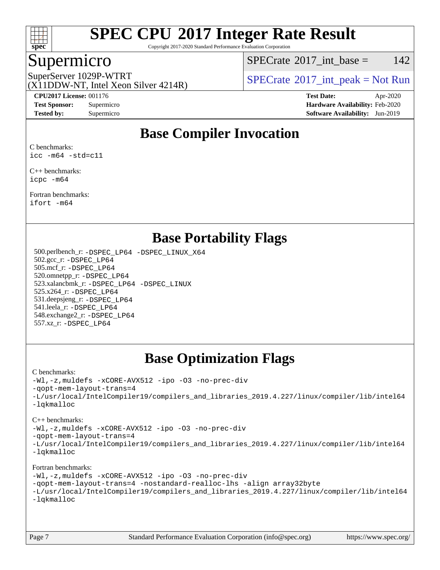

Copyright 2017-2020 Standard Performance Evaluation Corporation

## Supermicro

[SPECrate](http://www.spec.org/auto/cpu2017/Docs/result-fields.html#SPECrate2017intbase)<sup>®</sup>2017 int base = 142

(X11DDW-NT, Intel Xeon Silver 4214R)

SuperServer 1029P-WTRT <br>[SPECrate](http://www.spec.org/auto/cpu2017/Docs/result-fields.html#SPECrate2017intpeak)®[2017\\_int\\_peak = N](http://www.spec.org/auto/cpu2017/Docs/result-fields.html#SPECrate2017intpeak)ot Run (Y11DDW NT, Intal Year Silver 4214D)

**[CPU2017 License:](http://www.spec.org/auto/cpu2017/Docs/result-fields.html#CPU2017License)** 001176 **[Test Date:](http://www.spec.org/auto/cpu2017/Docs/result-fields.html#TestDate)** Apr-2020 **[Test Sponsor:](http://www.spec.org/auto/cpu2017/Docs/result-fields.html#TestSponsor)** Supermicro **[Hardware Availability:](http://www.spec.org/auto/cpu2017/Docs/result-fields.html#HardwareAvailability)** Feb-2020 **[Tested by:](http://www.spec.org/auto/cpu2017/Docs/result-fields.html#Testedby)** Supermicro **[Software Availability:](http://www.spec.org/auto/cpu2017/Docs/result-fields.html#SoftwareAvailability)** Jun-2019

## **[Base Compiler Invocation](http://www.spec.org/auto/cpu2017/Docs/result-fields.html#BaseCompilerInvocation)**

[C benchmarks:](http://www.spec.org/auto/cpu2017/Docs/result-fields.html#Cbenchmarks) [icc -m64 -std=c11](http://www.spec.org/cpu2017/results/res2020q2/cpu2017-20200414-22071.flags.html#user_CCbase_intel_icc_64bit_c11_33ee0cdaae7deeeab2a9725423ba97205ce30f63b9926c2519791662299b76a0318f32ddfffdc46587804de3178b4f9328c46fa7c2b0cd779d7a61945c91cd35)

[C++ benchmarks](http://www.spec.org/auto/cpu2017/Docs/result-fields.html#CXXbenchmarks): [icpc -m64](http://www.spec.org/cpu2017/results/res2020q2/cpu2017-20200414-22071.flags.html#user_CXXbase_intel_icpc_64bit_4ecb2543ae3f1412ef961e0650ca070fec7b7afdcd6ed48761b84423119d1bf6bdf5cad15b44d48e7256388bc77273b966e5eb805aefd121eb22e9299b2ec9d9)

[Fortran benchmarks:](http://www.spec.org/auto/cpu2017/Docs/result-fields.html#Fortranbenchmarks) [ifort -m64](http://www.spec.org/cpu2017/results/res2020q2/cpu2017-20200414-22071.flags.html#user_FCbase_intel_ifort_64bit_24f2bb282fbaeffd6157abe4f878425411749daecae9a33200eee2bee2fe76f3b89351d69a8130dd5949958ce389cf37ff59a95e7a40d588e8d3a57e0c3fd751)

### **[Base Portability Flags](http://www.spec.org/auto/cpu2017/Docs/result-fields.html#BasePortabilityFlags)**

 500.perlbench\_r: [-DSPEC\\_LP64](http://www.spec.org/cpu2017/results/res2020q2/cpu2017-20200414-22071.flags.html#b500.perlbench_r_basePORTABILITY_DSPEC_LP64) [-DSPEC\\_LINUX\\_X64](http://www.spec.org/cpu2017/results/res2020q2/cpu2017-20200414-22071.flags.html#b500.perlbench_r_baseCPORTABILITY_DSPEC_LINUX_X64) 502.gcc\_r: [-DSPEC\\_LP64](http://www.spec.org/cpu2017/results/res2020q2/cpu2017-20200414-22071.flags.html#suite_basePORTABILITY502_gcc_r_DSPEC_LP64) 505.mcf\_r: [-DSPEC\\_LP64](http://www.spec.org/cpu2017/results/res2020q2/cpu2017-20200414-22071.flags.html#suite_basePORTABILITY505_mcf_r_DSPEC_LP64) 520.omnetpp\_r: [-DSPEC\\_LP64](http://www.spec.org/cpu2017/results/res2020q2/cpu2017-20200414-22071.flags.html#suite_basePORTABILITY520_omnetpp_r_DSPEC_LP64) 523.xalancbmk\_r: [-DSPEC\\_LP64](http://www.spec.org/cpu2017/results/res2020q2/cpu2017-20200414-22071.flags.html#suite_basePORTABILITY523_xalancbmk_r_DSPEC_LP64) [-DSPEC\\_LINUX](http://www.spec.org/cpu2017/results/res2020q2/cpu2017-20200414-22071.flags.html#b523.xalancbmk_r_baseCXXPORTABILITY_DSPEC_LINUX) 525.x264\_r: [-DSPEC\\_LP64](http://www.spec.org/cpu2017/results/res2020q2/cpu2017-20200414-22071.flags.html#suite_basePORTABILITY525_x264_r_DSPEC_LP64) 531.deepsjeng\_r: [-DSPEC\\_LP64](http://www.spec.org/cpu2017/results/res2020q2/cpu2017-20200414-22071.flags.html#suite_basePORTABILITY531_deepsjeng_r_DSPEC_LP64) 541.leela\_r: [-DSPEC\\_LP64](http://www.spec.org/cpu2017/results/res2020q2/cpu2017-20200414-22071.flags.html#suite_basePORTABILITY541_leela_r_DSPEC_LP64) 548.exchange2\_r: [-DSPEC\\_LP64](http://www.spec.org/cpu2017/results/res2020q2/cpu2017-20200414-22071.flags.html#suite_basePORTABILITY548_exchange2_r_DSPEC_LP64) 557.xz\_r: [-DSPEC\\_LP64](http://www.spec.org/cpu2017/results/res2020q2/cpu2017-20200414-22071.flags.html#suite_basePORTABILITY557_xz_r_DSPEC_LP64)

## **[Base Optimization Flags](http://www.spec.org/auto/cpu2017/Docs/result-fields.html#BaseOptimizationFlags)**

#### [C benchmarks](http://www.spec.org/auto/cpu2017/Docs/result-fields.html#Cbenchmarks):

[-Wl,-z,muldefs](http://www.spec.org/cpu2017/results/res2020q2/cpu2017-20200414-22071.flags.html#user_CCbase_link_force_multiple1_b4cbdb97b34bdee9ceefcfe54f4c8ea74255f0b02a4b23e853cdb0e18eb4525ac79b5a88067c842dd0ee6996c24547a27a4b99331201badda8798ef8a743f577) [-xCORE-AVX512](http://www.spec.org/cpu2017/results/res2020q2/cpu2017-20200414-22071.flags.html#user_CCbase_f-xCORE-AVX512) [-ipo](http://www.spec.org/cpu2017/results/res2020q2/cpu2017-20200414-22071.flags.html#user_CCbase_f-ipo) [-O3](http://www.spec.org/cpu2017/results/res2020q2/cpu2017-20200414-22071.flags.html#user_CCbase_f-O3) [-no-prec-div](http://www.spec.org/cpu2017/results/res2020q2/cpu2017-20200414-22071.flags.html#user_CCbase_f-no-prec-div) [-qopt-mem-layout-trans=4](http://www.spec.org/cpu2017/results/res2020q2/cpu2017-20200414-22071.flags.html#user_CCbase_f-qopt-mem-layout-trans_fa39e755916c150a61361b7846f310bcdf6f04e385ef281cadf3647acec3f0ae266d1a1d22d972a7087a248fd4e6ca390a3634700869573d231a252c784941a8) [-L/usr/local/IntelCompiler19/compilers\\_and\\_libraries\\_2019.4.227/linux/compiler/lib/intel64](http://www.spec.org/cpu2017/results/res2020q2/cpu2017-20200414-22071.flags.html#user_CCbase_qkmalloc_link_0ffe0cb02c68ef1b443a077c7888c10c67ca0d1dd7138472156f06a085bbad385f78d49618ad55dca9db3b1608e84afc2f69b4003b1d1ca498a9fc1462ccefda) [-lqkmalloc](http://www.spec.org/cpu2017/results/res2020q2/cpu2017-20200414-22071.flags.html#user_CCbase_qkmalloc_link_lib_79a818439969f771c6bc311cfd333c00fc099dad35c030f5aab9dda831713d2015205805422f83de8875488a2991c0a156aaa600e1f9138f8fc37004abc96dc5)

#### [C++ benchmarks](http://www.spec.org/auto/cpu2017/Docs/result-fields.html#CXXbenchmarks):

[-Wl,-z,muldefs](http://www.spec.org/cpu2017/results/res2020q2/cpu2017-20200414-22071.flags.html#user_CXXbase_link_force_multiple1_b4cbdb97b34bdee9ceefcfe54f4c8ea74255f0b02a4b23e853cdb0e18eb4525ac79b5a88067c842dd0ee6996c24547a27a4b99331201badda8798ef8a743f577) [-xCORE-AVX512](http://www.spec.org/cpu2017/results/res2020q2/cpu2017-20200414-22071.flags.html#user_CXXbase_f-xCORE-AVX512) [-ipo](http://www.spec.org/cpu2017/results/res2020q2/cpu2017-20200414-22071.flags.html#user_CXXbase_f-ipo) [-O3](http://www.spec.org/cpu2017/results/res2020q2/cpu2017-20200414-22071.flags.html#user_CXXbase_f-O3) [-no-prec-div](http://www.spec.org/cpu2017/results/res2020q2/cpu2017-20200414-22071.flags.html#user_CXXbase_f-no-prec-div)

[-qopt-mem-layout-trans=4](http://www.spec.org/cpu2017/results/res2020q2/cpu2017-20200414-22071.flags.html#user_CXXbase_f-qopt-mem-layout-trans_fa39e755916c150a61361b7846f310bcdf6f04e385ef281cadf3647acec3f0ae266d1a1d22d972a7087a248fd4e6ca390a3634700869573d231a252c784941a8)

[-L/usr/local/IntelCompiler19/compilers\\_and\\_libraries\\_2019.4.227/linux/compiler/lib/intel64](http://www.spec.org/cpu2017/results/res2020q2/cpu2017-20200414-22071.flags.html#user_CXXbase_qkmalloc_link_0ffe0cb02c68ef1b443a077c7888c10c67ca0d1dd7138472156f06a085bbad385f78d49618ad55dca9db3b1608e84afc2f69b4003b1d1ca498a9fc1462ccefda) [-lqkmalloc](http://www.spec.org/cpu2017/results/res2020q2/cpu2017-20200414-22071.flags.html#user_CXXbase_qkmalloc_link_lib_79a818439969f771c6bc311cfd333c00fc099dad35c030f5aab9dda831713d2015205805422f83de8875488a2991c0a156aaa600e1f9138f8fc37004abc96dc5)

#### [Fortran benchmarks](http://www.spec.org/auto/cpu2017/Docs/result-fields.html#Fortranbenchmarks):

[-Wl,-z,muldefs](http://www.spec.org/cpu2017/results/res2020q2/cpu2017-20200414-22071.flags.html#user_FCbase_link_force_multiple1_b4cbdb97b34bdee9ceefcfe54f4c8ea74255f0b02a4b23e853cdb0e18eb4525ac79b5a88067c842dd0ee6996c24547a27a4b99331201badda8798ef8a743f577) [-xCORE-AVX512](http://www.spec.org/cpu2017/results/res2020q2/cpu2017-20200414-22071.flags.html#user_FCbase_f-xCORE-AVX512) [-ipo](http://www.spec.org/cpu2017/results/res2020q2/cpu2017-20200414-22071.flags.html#user_FCbase_f-ipo) [-O3](http://www.spec.org/cpu2017/results/res2020q2/cpu2017-20200414-22071.flags.html#user_FCbase_f-O3) [-no-prec-div](http://www.spec.org/cpu2017/results/res2020q2/cpu2017-20200414-22071.flags.html#user_FCbase_f-no-prec-div) [-qopt-mem-layout-trans=4](http://www.spec.org/cpu2017/results/res2020q2/cpu2017-20200414-22071.flags.html#user_FCbase_f-qopt-mem-layout-trans_fa39e755916c150a61361b7846f310bcdf6f04e385ef281cadf3647acec3f0ae266d1a1d22d972a7087a248fd4e6ca390a3634700869573d231a252c784941a8) [-nostandard-realloc-lhs](http://www.spec.org/cpu2017/results/res2020q2/cpu2017-20200414-22071.flags.html#user_FCbase_f_2003_std_realloc_82b4557e90729c0f113870c07e44d33d6f5a304b4f63d4c15d2d0f1fab99f5daaed73bdb9275d9ae411527f28b936061aa8b9c8f2d63842963b95c9dd6426b8a) [-align array32byte](http://www.spec.org/cpu2017/results/res2020q2/cpu2017-20200414-22071.flags.html#user_FCbase_align_array32byte_b982fe038af199962ba9a80c053b8342c548c85b40b8e86eb3cc33dee0d7986a4af373ac2d51c3f7cf710a18d62fdce2948f201cd044323541f22fc0fffc51b6) [-L/usr/local/IntelCompiler19/compilers\\_and\\_libraries\\_2019.4.227/linux/compiler/lib/intel64](http://www.spec.org/cpu2017/results/res2020q2/cpu2017-20200414-22071.flags.html#user_FCbase_qkmalloc_link_0ffe0cb02c68ef1b443a077c7888c10c67ca0d1dd7138472156f06a085bbad385f78d49618ad55dca9db3b1608e84afc2f69b4003b1d1ca498a9fc1462ccefda) [-lqkmalloc](http://www.spec.org/cpu2017/results/res2020q2/cpu2017-20200414-22071.flags.html#user_FCbase_qkmalloc_link_lib_79a818439969f771c6bc311cfd333c00fc099dad35c030f5aab9dda831713d2015205805422f83de8875488a2991c0a156aaa600e1f9138f8fc37004abc96dc5)